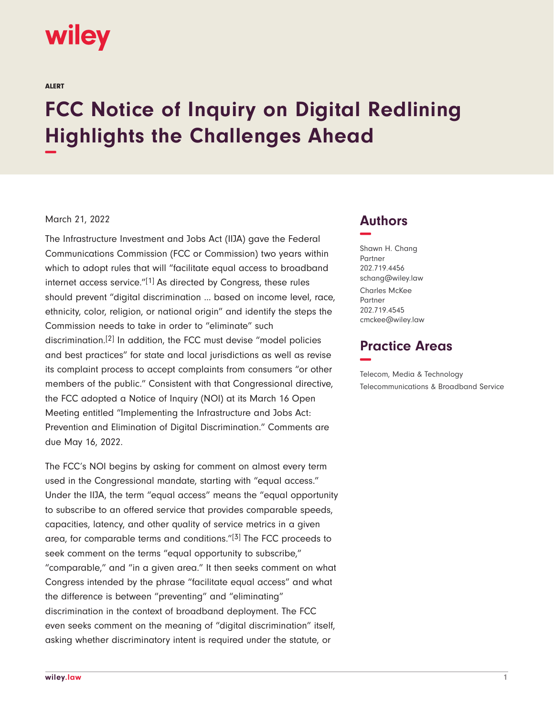# wiley

ALERT

# **FCC Notice of Inquiry on Digital Redlining Highlights the Challenges Ahead −**

#### March 21, 2022

The Infrastructure Investment and Jobs Act (IIJA) gave the Federal Communications Commission (FCC or Commission) two years within which to adopt rules that will "facilitate equal access to broadband internet access service."<sup>[1]</sup> As directed by Congress, these rules should prevent "digital discrimination … based on income level, race, ethnicity, color, religion, or national origin" and identify the steps the Commission needs to take in order to "eliminate" such discrimination.[2] In addition, the FCC must devise "model policies and best practices" for state and local jurisdictions as well as revise its complaint process to accept complaints from consumers "or other members of the public." Consistent with that Congressional directive, the FCC adopted a Notice of Inquiry (NOI) at its March 16 Open Meeting entitled "Implementing the Infrastructure and Jobs Act: Prevention and Elimination of Digital Discrimination." Comments are due May 16, 2022.

The FCC's NOI begins by asking for comment on almost every term used in the Congressional mandate, starting with "equal access." Under the IIJA, the term "equal access" means the "equal opportunity to subscribe to an offered service that provides comparable speeds, capacities, latency, and other quality of service metrics in a given area, for comparable terms and conditions."[3] The FCC proceeds to seek comment on the terms "equal opportunity to subscribe," "comparable," and "in a given area." It then seeks comment on what Congress intended by the phrase "facilitate equal access" and what the difference is between "preventing" and "eliminating" discrimination in the context of broadband deployment. The FCC even seeks comment on the meaning of "digital discrimination" itself, asking whether discriminatory intent is required under the statute, or

### **Authors −**

Shawn H. Chang Partner 202.719.4456 schang@wiley.law Charles McKee **Partner** 202.719.4545 cmckee@wiley.law

## **Practice Areas −**

Telecom, Media & Technology Telecommunications & Broadband Service